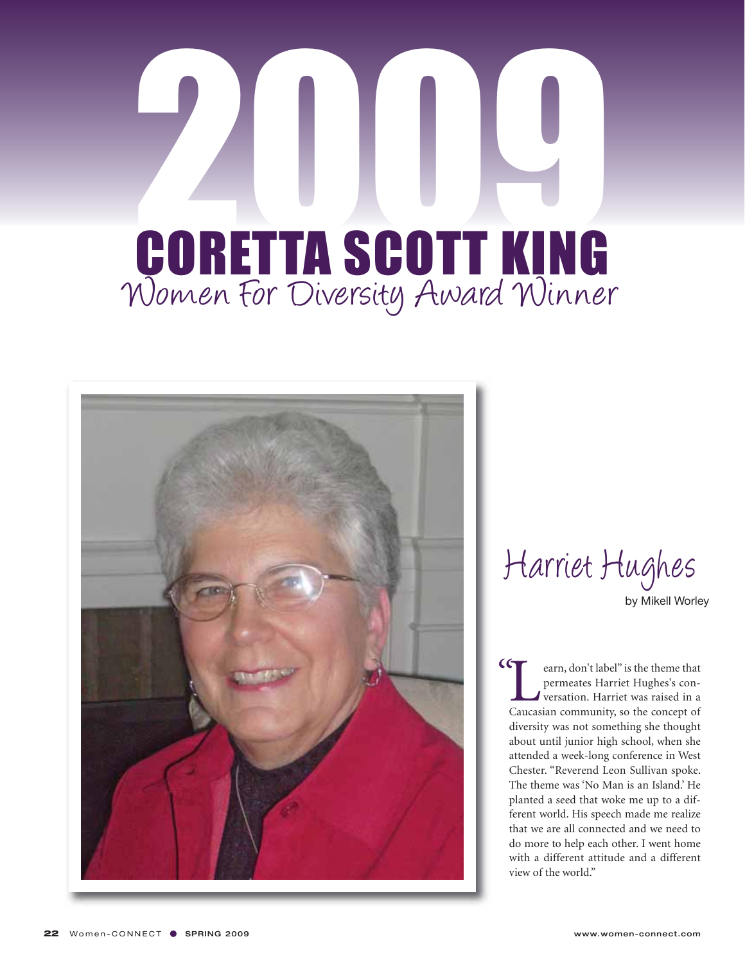## 2009 Women For Diversity Award Winner CORETTA SCOTT KING



Harriet Hughes by Mikell Worley

 $C$ 

**Example 1** carn, don't label" is the theme that<br>permeates Harriet Hughes's con-<br>versation. Harriet was raised in a<br>Caucasian community, so the concept of permeates Harriet Hughes's conversation. Harriet was raised in a diversity was not something she thought about until junior high school, when she attended a week-long conference in West Chester. "Reverend Leon Sullivan spoke. The theme was 'No Man is an Island.' He planted a seed that woke me up to a different world. His speech made me realize that we are all connected and we need to do more to help each other. I went home with a different attitude and a different view of the world."